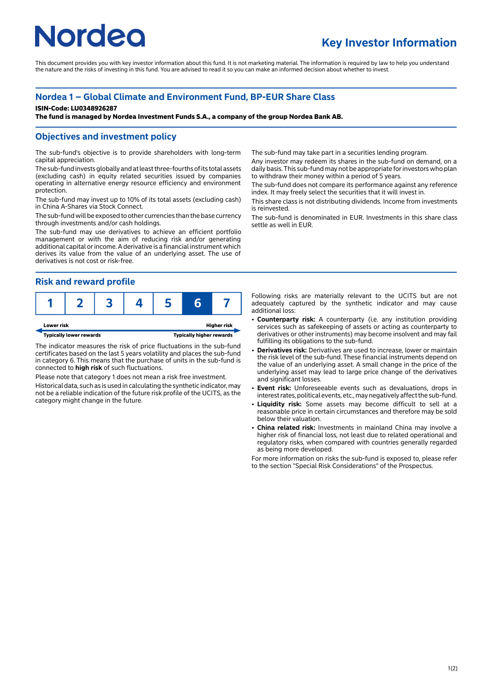# **Nordeo**

## **Key Investor Information**

This document provides you with key investor information about this fund. It is not marketing material. The information is required by law to help you understand the nature and the risks of investing in this fund. You are advised to read it so you can make an informed decision about whether to invest.

## **Nordea 1 – Global Climate and Environment Fund, BP-EUR Share Class**

#### **ISIN-Code: LU0348926287**

**The fund is managed by Nordea Investment Funds S.A., a company of the group Nordea Bank AB.**

### **Objectives and investment policy**

The sub-fund's objective is to provide shareholders with long-term capital appreciation.

The sub-fund invests globally and at least three-fourths of its total assets (excluding cash) in equity related securities issued by companies operating in alternative energy resource efficiency and environment protection.

The sub-fund may invest up to 10% of its total assets (excluding cash) in China A-Shares via Stock Connect.

The sub-fund will be exposed to other currencies than the base currency through investments and/or cash holdings.

The sub-fund may use derivatives to achieve an efficient portfolio management or with the aim of reducing risk and/or generating additional capital or income. A derivative is a financial instrument which derives its value from the value of an underlying asset. The use of derivatives is not cost or risk-free.

## **Risk and reward profile**



The indicator measures the risk of price fluctuations in the sub-fund certificates based on the last 5 years volatility and places the sub-fund in category 6. This means that the purchase of units in the sub-fund is connected to **high risk** of such fluctuations.

Please note that category 1 does not mean a risk free investment.

Historical data, such as is used in calculating the synthetic indicator, may not be a reliable indication of the future risk profile of the UCITS, as the category might change in the future.

The sub-fund may take part in a securities lending program.

Any investor may redeem its shares in the sub-fund on demand, on a daily basis. This sub-fund may not be appropriate for investors who plan to withdraw their money within a period of 5 years.

The sub-fund does not compare its performance against any reference index. It may freely select the securities that it will invest in.

This share class is not distributing dividends. Income from investments is reinvested.

The sub-fund is denominated in EUR. Investments in this share class settle as well in EUR.

Following risks are materially relevant to the UCITS but are not adequately captured by the synthetic indicator and may cause additional loss:

- 2 **Counterparty risk:** A counterparty (i.e. any institution providing services such as safekeeping of assets or acting as counterparty to derivatives or other instruments) may become insolvent and may fail fulfilling its obligations to the sub-fund.
- 2 **Derivatives risk:** Derivatives are used to increase, lower or maintain the risk level of the sub-fund. These financial instruments depend on the value of an underlying asset. A small change in the price of the underlying asset may lead to large price change of the derivatives and significant losses.
- **Event risk:** Unforeseeable events such as devaluations, drops in interest rates, political events, etc., may negatively affect the sub-fund.
- 2 **Liquidity risk:** Some assets may become difficult to sell at a reasonable price in certain circumstances and therefore may be sold below their valuation.
- China related risk: Investments in mainland China may involve a higher risk of financial loss, not least due to related operational and regulatory risks, when compared with countries generally regarded as being more developed.

For more information on risks the sub-fund is exposed to, please refer to the section "Special Risk Considerations" of the Prospectus.